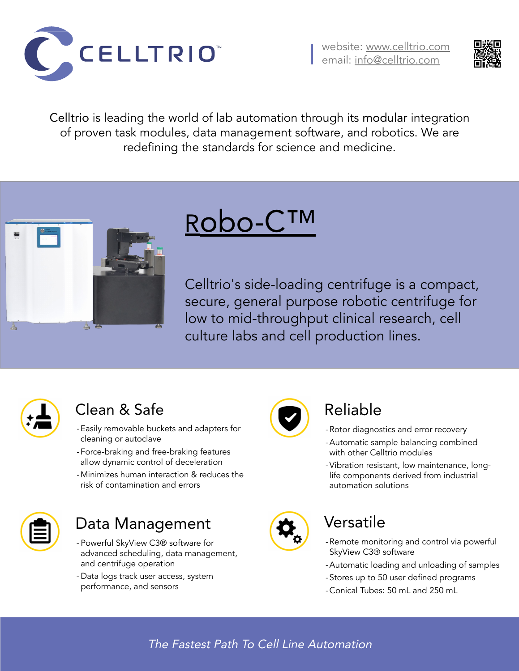## Data Management

- Powerful SkyView C3® software for advanced scheduling, data management, and centrifuge operation
- Data logs track user access, system performance, and sensors



### Clean & Safe

- -Easily removable buckets and adapters for cleaning or autoclave
- -Force-braking and free-braking features allow dynamic control of deceleration
- -Minimizes human interaction & reduces the risk of contamination and errors







Robo-C™

Celltrio's side-loading centrifuge is a compact, secure, general purpose robotic centrifuge for low to mid-throughput clinical research, cell culture labs and cell production lines.



### Versatile

- -Remote monitoring and control via powerful SkyView C3® software
- -Automatic loading and unloading of samples
- -Stores up to 50 user defined programs
- -Conical Tubes: 50 mL and 250 mL

## Reliable

- -Rotor diagnostics and error recovery
- -Automatic sample balancing combined with other Celltrio modules
- -Vibration resistant, low maintenance, longlife components derived from industrial automation solutions



Celltrio is leading the world of lab automation through its modular integration of proven task modules, data management software, and robotics. We are redefining the standards for science and medicine.



#### The Fastest Path To Cell Line Automation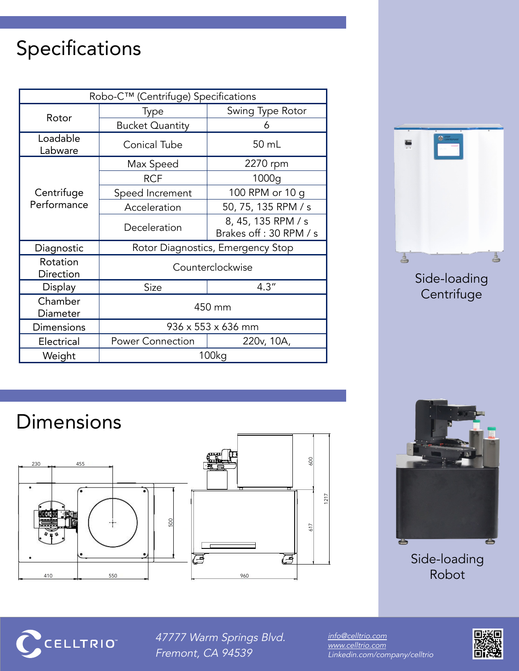# Specifications

Side-loading **Centrifuge** 

## Dimensions

#### Side-loading Robot



47777 Warm Springs Blvd. Fremont, CA 94539

| Robo-C™ (Centrifuge) Specifications |                                   |                                               |
|-------------------------------------|-----------------------------------|-----------------------------------------------|
| Rotor                               | <b>Type</b>                       | <b>Swing Type Rotor</b>                       |
|                                     | <b>Bucket Quantity</b>            |                                               |
| Loadable<br>Labware                 | <b>Conical Tube</b>               | 50 mL                                         |
| Centrifuge<br>Performance           | Max Speed                         | 2270 rpm                                      |
|                                     | <b>RCF</b>                        | 1000g                                         |
|                                     | Speed Increment                   | 100 RPM or 10 g                               |
|                                     | Acceleration                      | 50, 75, 135 RPM / s                           |
|                                     | Deceleration                      | 8, 45, 135 RPM / s<br>Brakes off : 30 RPM / s |
| Diagnostic                          | Rotor Diagnostics, Emergency Stop |                                               |
| Rotation<br><b>Direction</b>        | Counterclockwise                  |                                               |
| Display                             | <b>Size</b>                       | 4.3''                                         |
| Chamber<br>Diameter                 | 450 mm                            |                                               |
| <b>Dimensions</b>                   | $936 \times 553 \times 636$ mm    |                                               |
| <b>Electrical</b>                   | <b>Power Connection</b>           | 220v, 10A,                                    |
| Weight                              | <b>100kg</b>                      |                                               |







[info@celltrio.com](mailto:info@celltrio.com) [www.celltrio.com](http://www.celltrio.com/) Linkedin.com/company/celltrio